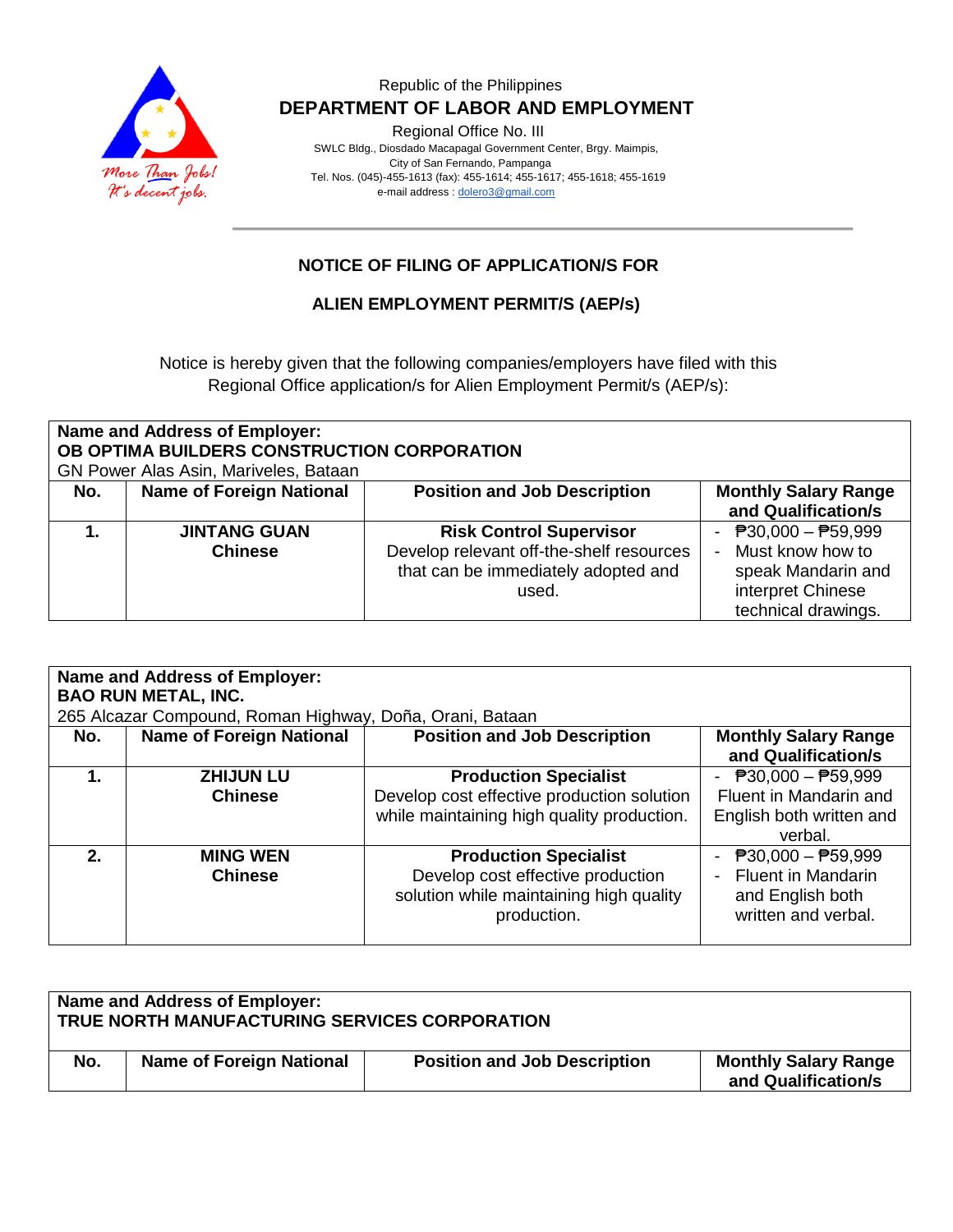

### Republic of the Philippines  **DEPARTMENT OF LABOR AND EMPLOYMENT**

Regional Office No. III

 SWLC Bldg., Diosdado Macapagal Government Center, Brgy. Maimpis, City of San Fernando, Pampanga Tel. Nos. (045)-455-1613 (fax): 455-1614; 455-1617; 455-1618; 455-1619 e-mail address [: dolero3@gmail.com](mailto:dolero3@gmail.com)

## **NOTICE OF FILING OF APPLICATION/S FOR**

## **ALIEN EMPLOYMENT PERMIT/S (AEP/s)**

Notice is hereby given that the following companies/employers have filed with this Regional Office application/s for Alien Employment Permit/s (AEP/s):

| Name and Address of Employer:<br>OB OPTIMA BUILDERS CONSTRUCTION CORPORATION<br>GN Power Alas Asin, Mariveles, Bataan |                                       |                                                                                                                            |                                                                                                             |
|-----------------------------------------------------------------------------------------------------------------------|---------------------------------------|----------------------------------------------------------------------------------------------------------------------------|-------------------------------------------------------------------------------------------------------------|
| No.                                                                                                                   | <b>Name of Foreign National</b>       | <b>Position and Job Description</b>                                                                                        | <b>Monthly Salary Range</b><br>and Qualification/s                                                          |
|                                                                                                                       | <b>JINTANG GUAN</b><br><b>Chinese</b> | <b>Risk Control Supervisor</b><br>Develop relevant off-the-shelf resources<br>that can be immediately adopted and<br>used. | - $P30,000 - P59,999$<br>Must know how to<br>speak Mandarin and<br>interpret Chinese<br>technical drawings. |

| Name and Address of Employer:<br><b>BAO RUN METAL, INC.</b><br>265 Alcazar Compound, Roman Highway, Doña, Orani, Bataan |                                   |                                                                                                                             |                                                                                                                   |
|-------------------------------------------------------------------------------------------------------------------------|-----------------------------------|-----------------------------------------------------------------------------------------------------------------------------|-------------------------------------------------------------------------------------------------------------------|
| No.                                                                                                                     | <b>Name of Foreign National</b>   | <b>Position and Job Description</b>                                                                                         | <b>Monthly Salary Range</b><br>and Qualification/s                                                                |
|                                                                                                                         | <b>ZHIJUN LU</b>                  | <b>Production Specialist</b>                                                                                                | - $P30,000 - P59,999$                                                                                             |
|                                                                                                                         | <b>Chinese</b>                    | Develop cost effective production solution<br>while maintaining high quality production.                                    | Fluent in Mandarin and<br>English both written and<br>verbal.                                                     |
| $2_{-}$                                                                                                                 | <b>MING WEN</b><br><b>Chinese</b> | <b>Production Specialist</b><br>Develop cost effective production<br>solution while maintaining high quality<br>production. | $\overline{P}30,000 - \overline{P}59,999$<br><b>Fluent in Mandarin</b><br>and English both<br>written and verbal. |

| Name and Address of Employer:<br>TRUE NORTH MANUFACTURING SERVICES CORPORATION |                                 |                                     |                                                    |
|--------------------------------------------------------------------------------|---------------------------------|-------------------------------------|----------------------------------------------------|
| No.                                                                            | <b>Name of Foreign National</b> | <b>Position and Job Description</b> | <b>Monthly Salary Range</b><br>and Qualification/s |